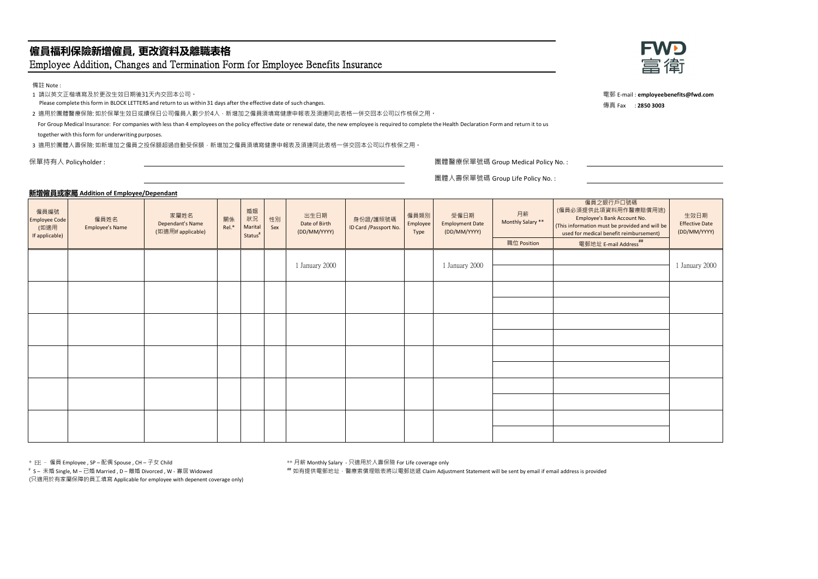# **僱員福利保險新增僱員, 更改資料及離職表格** Employee Addition, Changes and Termination Form for Employee Benefits Insurance

備註 Note :

1 請以英文正楷填寫及於更改生效日期後31天內交回本公司。

Please complete this form in BLOCK LETTERS and return to us within 31 days after the effective date of such changes.

2 適用於團體醫療保險: 如於保單生效日或續保日公司僱員人數少於4人,新增加之僱員須填寫健康申報表及須連同此表格一併交回本公司以作核保之用。

For Group Medical Insurance: For companies with less than 4 employees on the policy effective date or renewal date, the new employee is required to complete the Health Declaration Form and return it to us

together with this form for underwriting purposes.

3 適用於團體人壽保險: 如新增加之僱員之投保額超過自動受保額, 新增加之僱員須填寫健康申報表及須連同此表格一併交回本公司以作核保之用。



電郵 E-mail : **employeebenefits@fwd.com** 傳真 Fax : **2850 3003**

保單持有人 Policyholder : 團體醫療保單號碼 Group Medical Policy No. :

團體人壽保單號碼 Group Life Policy No. :

## **新增僱員或家屬 Addition of Employee/Dependant**

| 僱員編號<br><b>Employee Code</b><br>(如適用<br>If applicable) | 僱員姓名<br><b>Employee's Name</b> | 家屬姓名<br>Dependant's Name<br>(如適用If applicable) | 關係<br>Rel.* | 婚姻<br>狀況<br>Marital<br>Status <sup>#</sup> | 性別<br>Sex | 出生日期<br>Date of Birth<br>(DD/MM/YYYY) | 身份證/護照號碼<br>ID Card /Passport No. | 僱員類別<br>Employee<br>Type | 受僱日期<br><b>Employment Date</b><br>(DD/MM/YYYY) | 月薪<br>Monthly Salary **<br>職位 Position | 僱員之銀行戶口號碼<br>(僱員必須提供此項資料用作醫療賠償用途)<br>Employee's Bank Account No.<br>(This information must be provided and will be<br>used for medical benefit reimbursement)<br>電郵地址 E-mail Address <sup>##</sup> | 生效日期<br><b>Effective Date</b><br>(DD/MM/YYYY) |
|--------------------------------------------------------|--------------------------------|------------------------------------------------|-------------|--------------------------------------------|-----------|---------------------------------------|-----------------------------------|--------------------------|------------------------------------------------|----------------------------------------|----------------------------------------------------------------------------------------------------------------------------------------------------------------------------------------------------|-----------------------------------------------|
|                                                        |                                |                                                |             |                                            |           | 1 January 2000                        |                                   |                          | 1 January 2000                                 |                                        |                                                                                                                                                                                                    | 1 January 2000                                |
|                                                        |                                |                                                |             |                                            |           |                                       |                                   |                          |                                                |                                        |                                                                                                                                                                                                    |                                               |
|                                                        |                                |                                                |             |                                            |           |                                       |                                   |                          |                                                |                                        |                                                                                                                                                                                                    |                                               |
|                                                        |                                |                                                |             |                                            |           |                                       |                                   |                          |                                                |                                        |                                                                                                                                                                                                    |                                               |
|                                                        |                                |                                                |             |                                            |           |                                       |                                   |                          |                                                |                                        |                                                                                                                                                                                                    |                                               |
|                                                        |                                |                                                |             |                                            |           |                                       |                                   |                          |                                                |                                        |                                                                                                                                                                                                    |                                               |

<sup>#</sup> S- 未婚 Single, M - 已婚 Married , D - 離婚 Divorced , W - 寡居 Widowed

(只適用於有家屬保障的員工填寫 Applicable for employee with depenent coverage only)

\* EE – 僱員 Employee , SP – 配偶 Spouse , CH – 子女 Child \*\* 月薪 Monthly Salary - 只適用於人壽保險 For Life coverage only

## 如有提供電郵地址,醫療索償理賠表將以電郵送遞 Claim Adjustment Statement will be sent by email if email address is provided